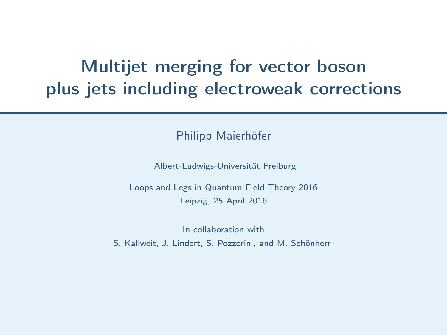## Multijet merging for vector boson plus jets including electroweak corrections

Philipp Maierhöfer

Albert-Ludwigs-Universität Freiburg

Loops and Legs in Quantum Field Theory 2016 Leipzig, 25 April 2016

In collaboration with

<span id="page-0-0"></span>S. Kallweit, J. Lindert, S. Pozzorini, and M. Schönherr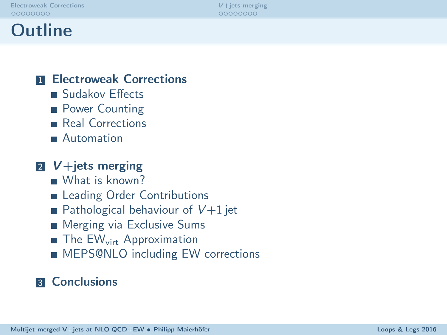| Electroweak Corrections |  |  |  |  |  |  |
|-------------------------|--|--|--|--|--|--|
| 00000000                |  |  |  |  |  |  |

 $V +$ jets merging 00000000

## Outline

#### **11 [Electroweak Corrections](#page-2-0)**

- [Sudakov Effects](#page-2-0)
- [Power Counting](#page-3-0)
- [Real Corrections](#page-4-0)
- **[Automation](#page-6-0)**

### $\sqrt{2}$  V + jets merging

- [What is known?](#page-10-0)
- [Leading Order Contributions](#page-11-0)
- [Pathological behaviour of](#page-12-0)  $V+1$  jet
- **[Merging via Exclusive Sums](#page-13-0)**
- $\blacksquare$  The EW<sub>virt</sub> [Approximation](#page-15-0)
- **MEPS@NLO** including EW corrections

#### **3** [Conclusions](#page-18-0)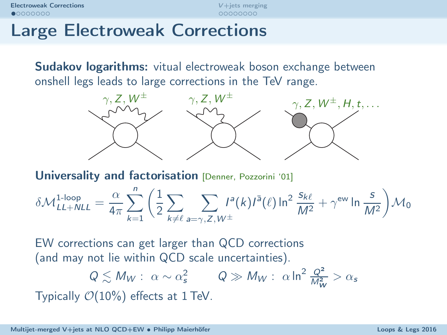00000000

## Large Electroweak Corrections

**Sudakov logarithms:** vitual electroweak boson exchange between onshell legs leads to large corrections in the TeV range.



Universality and factorisation [Denner, Pozzorini '01]

$$
\delta \mathcal{M}^{\text{1-loop}}_{LL+NLL} = \frac{\alpha}{4\pi} \sum_{k=1}^n \bigg( \frac{1}{2} \sum_{k\neq \ell} \sum_{a=\gamma,Z,W^\pm} I^a(k) I^{\bar{a}}(\ell) \ln^2 \frac{s_{k\ell}}{M^2} + \gamma^\text{ew} \ln \frac{s}{M^2} \bigg) \mathcal{M}_0
$$

EW corrections can get larger than QCD corrections (and may not lie within QCD scale uncertainties).

<span id="page-2-0"></span>
$$
Q \lesssim M_W: \ \alpha \sim \alpha_s^2 \qquad Q \gg M_W: \ \alpha \ln^2 \frac{Q^2}{M_W^2} > \alpha_s
$$
 Typically  $\mathcal{O}(10\%)$  effects at 1 TeV.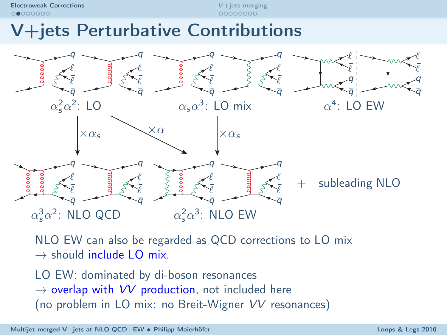[Electroweak Corrections](#page-2-0) and the contractions of the contractions of the contractions of the contractions of the contractions of the contractions of the contractions of the contractions of the contractions of the contractio  $0$  0000000

## V+jets Perturbative Contributions



NLO EW can also be regarded as QCD corrections to LO mix  $\rightarrow$  should include LO mix.

<span id="page-3-0"></span>LO EW: dominated by di-boson resonances  $\rightarrow$  overlap with VV production, not included here (no problem in LO mix: no Breit-Wigner VV resonances)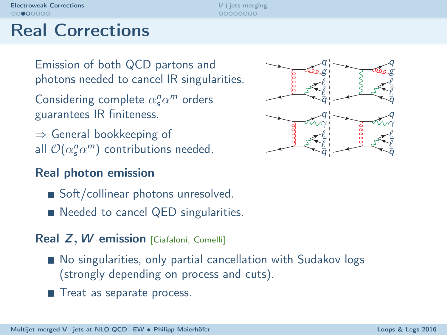00000000

## Real Corrections

Emission of both QCD partons and photons needed to cancel IR singularities.

Considering complete  $\alpha_s^n \alpha^m$  orders guarantees IR finiteness.

⇒ General bookkeeping of all  $\mathcal{O}(\alpha_s^n\alpha^m)$  contributions needed.

### Real photon emission

- Soft/collinear photons unresolved.
- Needed to cancel QED singularities.

#### Real Z, W emission [Ciafaloni, Comelli]

- No singularities, only partial cancellation with Sudakov logs (strongly depending on process and cuts).
- Treat as separate process.

<span id="page-4-0"></span>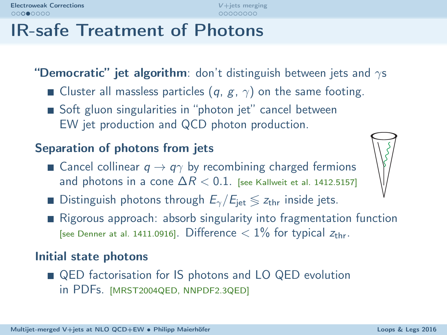## IR-safe Treatment of Photons

"Democratic" jet algorithm: don't distinguish between jets and  $\gamma s$ 

- **Cluster all massless particles (q, g,**  $\gamma$ **) on the same footing.**
- Soft gluon singularities in "photon jet" cancel between EW jet production and QCD photon production.

### Separation of photons from jets

- Cancel collinear  $q \rightarrow q\gamma$  by recombining charged fermions and photons in a cone  $\Delta R < 0.1$ . [see Kallweit et al. 1412.5157]
- **Distinguish photons through**  $E_{\gamma}/E_{\text{jet}} \le z_{\text{thr}}$  inside jets.
- Rigorous approach: absorb singularity into fragmentation function [see Denner at al. 1411.0916]. Difference  $< 1\%$  for typical  $z_{thr}$ .

#### Initial state photons

■ QED factorisation for IS photons and LO QED evolution in PDFs. [MRST2004QED, NNPDF2.3QED]

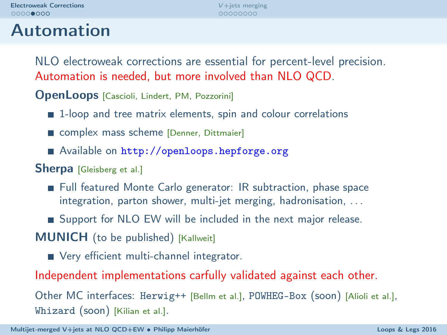Automation

## 00000000

NLO electroweak corrections are essential for percent-level precision. Automation is needed, but more involved than NLO QCD.

OpenLoops [Cascioli, Lindert, PM, Pozzorini]

- 1-loop and tree matrix elements, spin and colour correlations
- complex mass scheme [Denner, Dittmaier]
- Available on http://openloops.hepforge.org
- Sherpa [Gleisberg et al.]
	- Full featured Monte Carlo generator: IR subtraction, phase space integration, parton shower, multi-jet merging, hadronisation, . . .
	- Support for NLO EW will be included in the next major release.

**MUNICH** (to be published) [Kallweit]

<span id="page-6-0"></span>Very efficient multi-channel integrator.

Independent implementations carfully validated against each other.

Other MC interfaces: Herwig++ [Bellm et al.], POWHEG-Box (soon) [Alioli et al.], Whizard (soon) [Kilian et al.].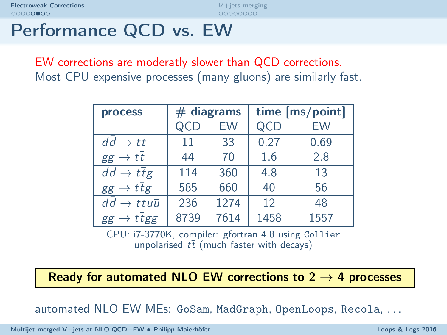00000000

## Performance QCD vs. EW

EW corrections are moderatly slower than QCD corrections. Most CPU expensive processes (many gluons) are similarly fast.

| <b>process</b>                              |      | $#$ diagrams | time [ms/point] |      |  |  |  |
|---------------------------------------------|------|--------------|-----------------|------|--|--|--|
|                                             |      | <b>FW</b>    | QCD             | EW   |  |  |  |
| $dd \rightarrow tt$                         | 11   | 33           | 0.27            | 0.69 |  |  |  |
| $\rightarrow tt$<br>gg                      | 44   | 70           | 1.6             | 2.8  |  |  |  |
| $dd \rightarrow t\overline{t}g$             | 114  | 360          | 4.8             | 13   |  |  |  |
| $gg \to t \overline{t}g$                    | 585  | 660          | 40              | 56   |  |  |  |
| $dd \rightarrow t\overline{t}u\overline{u}$ | 236  | 1274         | 12              | 48   |  |  |  |
| ttgg<br>gg                                  | 8739 | 7614         | 1458            | 1557 |  |  |  |

CPU: i7-3770K, compiler: gfortran 4.8 using Collier unpolarised  $t\bar{t}$  (much faster with decays)

Ready for automated NLO EW corrections to  $2 \rightarrow 4$  processes

automated NLO EW MEs: GoSam, MadGraph, OpenLoops, Recola, . . .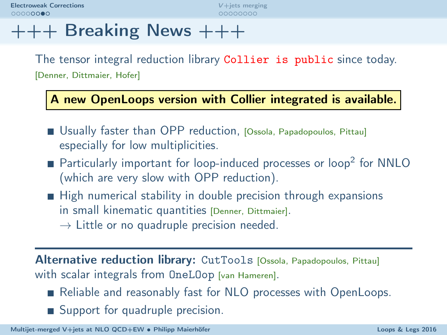[Electroweak Corrections](#page-2-0) and the contractions of the contractions of the contractions of the contractions of the contractions of the contractions of the contractions of the contractions of the contractions of the contractio  $000000000$ 

## $+++$  Breaking News  $+++$

The tensor integral reduction library Collier is public since today. [Denner, Dittmaier, Hofer]

A new OpenLoops version with Collier integrated is available.

- Usually faster than OPP reduction, [Ossola, Papadopoulos, Pittau] especially for low multiplicities.
- Particularly important for loop-induced processes or loop<sup>2</sup> for NNLO (which are very slow with OPP reduction).
- High numerical stability in double precision through expansions in small kinematic quantities [Denner, Dittmaier].
	- $\rightarrow$  Little or no quadruple precision needed.

Alternative reduction library: CutTools [Ossola, Papadopoulos, Pittau] with scalar integrals from OneLOop [van Hameren].

- Reliable and reasonably fast for NLO processes with OpenLoops.
- Support for quadruple precision.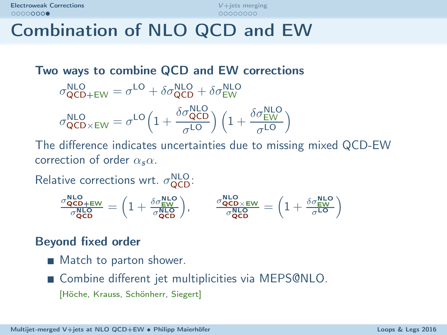## Combination of NLO QCD and EW

Two ways to combine QCD and EW corrections  $\sigma_{\text{QCD+EW}}^{\text{NLO}} = \sigma^{\text{LO}} + \delta \sigma_{\text{QCD}}^{\text{NLO}} + \delta \sigma_{\text{EW}}^{\text{NLO}}$  $\sigma_{\text{QCD}\times\text{EW}}^{\text{NLO}} = \sigma^{\text{LO}} \left( 1 + \frac{\delta \sigma_{\text{QCD}}^{\text{NLO}}}{\sigma^{\text{LO}}} \right)$  $\left(\frac{\sigma_{\text{QCD}}^{\text{NLO}}}{\sigma^{\text{LO}}}\right) \left(1 + \frac{\delta \sigma_{\text{EW}}^{\text{NLO}}}{\sigma^{\text{LO}}} \right)$  $\frac{\sigma_{\text{EW}}}{\sigma^{\text{LO}}}\right)$ 

The difference indicates uncertainties due to missing mixed QCD-EW correction of order  $\alpha_s \alpha$ .

Relative corrections wrt.  $\sigma_{\text{QCD}}^{\text{NLO}}$ .

$$
\tfrac{\sigma_{\text{QCD}}^{\text{NLO}}}{\sigma_{\text{QCD}}^{\text{NLO}}} = \Big(1 + \tfrac{\delta \sigma_{\text{EW}}^{\text{NLO}}}{\sigma_{\text{QCD}}^{\text{NLO}}}\Big), \qquad \tfrac{\sigma_{\text{QCD}\times\text{EW}}^{\text{NLO}}}{\sigma_{\text{QCD}}^{\text{NLO}}} = \Big(1 + \tfrac{\delta \sigma_{\text{EW}}^{\text{NLO}}}{\sigma^{\text{LO}}}\Big)
$$

### Beyond fixed order

- **Match to parton shower.**
- Combine different jet multiplicities via MEPS@NLO.

[Höche, Krauss, Schönherr, Siegert]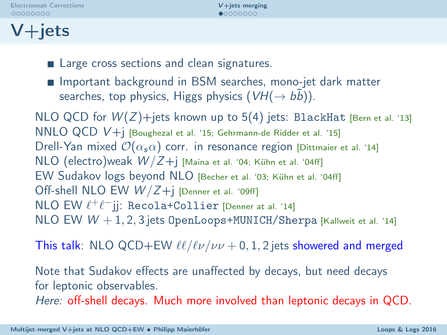|  |  | <b>Electroweak Corrections</b> |  |  |  |  |  |  |
|--|--|--------------------------------|--|--|--|--|--|--|
|  |  | 00000000                       |  |  |  |  |  |  |

## $V+$ jets

- **Large cross sections and clean signatures.**
- Important background in BSM searches, mono-jet dark matter searches, top physics, Higgs physics  $(\textit{VH} (\rightarrow \bar{b}\bar{b}))$ .

NLO QCD for  $W(Z)$ +jets known up to 5(4) jets: BlackHat [Bern et al. '13] NNLO QCD V+j [Boughezal et al. '15; Gehrmann-de Ridder et al. '15] Drell-Yan mixed  $\mathcal{O}(\alpha,\alpha)$  corr. in resonance region [Dittmaier et al. '14]  $NLO$  (electro)weak  $W/Z+j$  [Maina et al. '04; Kühn et al. '04ff] EW Sudakov logs beyond NLO [Becher et al. '03; Kühn et al. '04ff] Off-shell NLO EW  $W/Z+j$  [Denner et al. '09ff] NLO EW  $\ell^+\ell^-$ jj: Recola+Collier [Denner at al. '14]  $NLO$  EW  $W + 1, 2, 3$  jets OpenLoops+MUNICH/Sherpa [Kallweit et al. '14]

This talk: NLO QCD+EW  $\ell\ell/\ell\nu/\nu\nu$  + 0, 1, 2 jets showered and merged

Note that Sudakov effects are unaffected by decays, but need decays for leptonic observables.

<span id="page-10-0"></span>Here: off-shell decays. Much more involved than leptonic decays in QCD.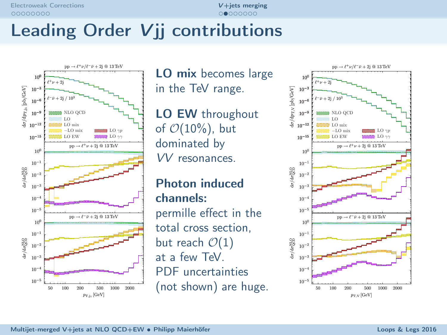# Leading Order Vij contributions



LO mix becomes large in the TeV range.

LO EW throughout of  $\mathcal{O}(10\%)$ , but dominated by VV resonances.

<span id="page-11-0"></span>Photon induced channels: permille effect in the total cross section, but reach  $\mathcal{O}(1)$ at a few TeV. PDF uncertainties (not shown) are huge.

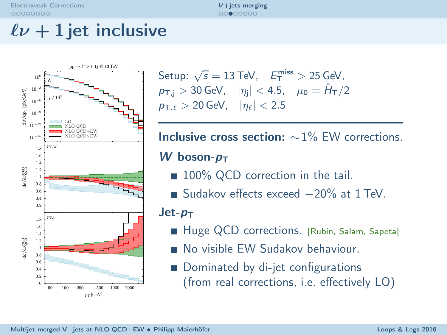$00000000$ 

## $\ell \nu + 1$  jet inclusive



Setup:  $\sqrt{s} = 13 \text{ TeV}$ ,  $E_{\text{T}}^{\text{miss}} > 25 \text{ GeV}$ ,  $p_{\text{T,i}} > 30$  GeV,  $|\eta_i| < 4.5$ ,  $\mu_0 = \hat{H}_{\text{T}}/2$  $p_{\text{T},\ell} > 20$  GeV,  $|\eta_{\ell}| < 2.5$ 

**Inclusive cross section:**  $\sim$ 1% EW corrections.

W boson- $p_T$ 

- 100% QCD correction in the tail.
- Sudakov effects exceed -20% at 1 TeV.

 $Jet-p_T$ 

- Huge QCD corrections. [Rubin, Salam, Sapeta]
- No visible FW Sudakov behaviour.
- <span id="page-12-0"></span>Dominated by di-jet configurations (from real corrections, i.e. effectively LO)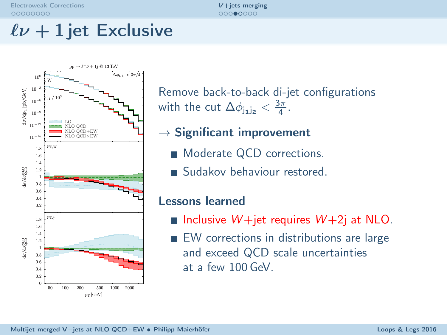$00000000$ 

## $\ell \nu + 1$  jet Exclusive



Remove back-to-back di-jet configurations with the cut  $\Delta\phi_{j_1j_2} < \frac{3\pi}{4}$ .

- $\rightarrow$  Significant improvement
	- **Moderate QCD corrections.**
	- Sudakov behaviour restored.

#### Lessons learned

- Inclusive  $W +$ jet requires  $W + 2$ j at NLO.
- <span id="page-13-0"></span>**EW** corrections in distributions are large and exceed QCD scale uncertainties at a few 100 GeV.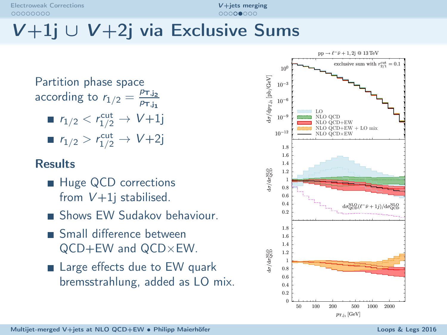[Electroweak Corrections](#page-2-0) and the contractions of the contractions of the contractions of the contractions of the contractions of the contractions of the contractions of the contractions of the contractions of the contractio 00000000

# V+1j ∪ V+2j via Exclusive Sums

Partition phase space according to  $r_{1/2} = \frac{p_{\text{T,j}_2}}{p_{\text{T,i}_2}}$  $p_{\text{T},j_1}$ 

 $r_{1/2} < r_{1/2}^{\text{cut}} \to V+1$ j  $r_{1/2} > r_{1/2}^{\text{cut}} \to V+2j$ 

### **Results**

- Huge QCD corrections from  $V+1$ j stabilised.
- Shows EW Sudakov behaviour.
- Small difference between QCD+EW and QCD×EW.
- Large effects due to EW quark bremsstrahlung, added as LO mix.

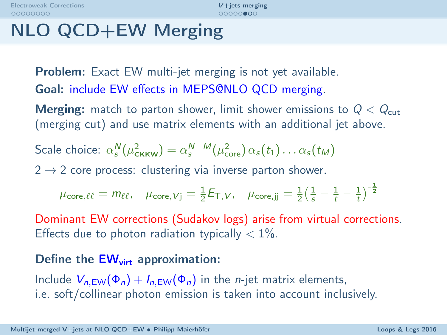$000000000$ 

## NLO QCD+EW Merging

**Problem:** Exact EW multi-jet merging is not yet available. Goal: include EW effects in MEPS@NLO QCD merging.

**Merging:** match to parton shower, limit shower emissions to  $Q < Q_{\text{cut}}$ (merging cut) and use matrix elements with an additional jet above.

Scale choice: 
$$
\alpha_s^N(\mu_{\text{CKKW}}^2) = \alpha_s^{N-M}(\mu_{\text{core}}^2) \alpha_s(t_1) \dots \alpha_s(t_M)
$$

 $2 \rightarrow 2$  core process: clustering via inverse parton shower.

$$
\mu_{\text{core},\ell\ell} = m_{\ell\ell}, \quad \mu_{\text{core},Vj} = \tfrac{1}{2} E_{\text{T},V}, \quad \mu_{\text{core},jj} = \tfrac{1}{2} \big(\tfrac{1}{s} - \tfrac{1}{t} - \tfrac{1}{t}\big)^{-\frac{1}{2}}
$$

Dominant EW corrections (Sudakov logs) arise from virtual corrections. Effects due to photon radiation typically  $< 1\%$ .

#### Define the  $EW<sub>virt</sub>$  approximation:

<span id="page-15-0"></span>Include  $V_{n,EW}(\Phi_n) + I_{n,EW}(\Phi_n)$  in the *n*-jet matrix elements, i.e. soft/collinear photon emission is taken into account inclusively.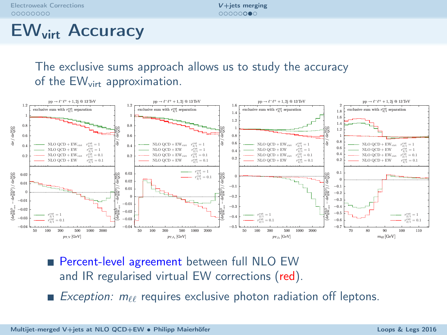[Electroweak Corrections](#page-2-0) and the contractions of the corrections of the contractions of the contractions of the contractions of the contractions of the contractions of the contractions of the contractions of the contraction 00000000

## EWvirt Accuracy

The exclusive sums approach allows us to study the accuracy of the EW<sub>virt</sub> approximation.



Percent-level agreement between full NLO EW and IR regularised virtual EW corrections (red).

Exception:  $m_{\ell\ell}$  requires exclusive photon radiation off leptons.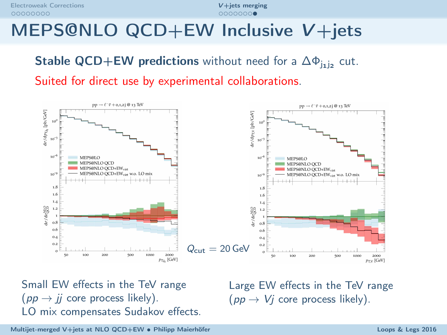[Electroweak Corrections](#page-2-0) and the contractions of the contractions of the contractions of the contractions of the contractions of the contractions of the contractions of the contractions of the contractions of the contractio 00000000

## MEPS@NLO QCD+EW Inclusive V+jets

## **Stable QCD+EW predictions** without need for a  $\Delta \Phi_{j_1 j_2}$  cut.

Suited for direct use by experimental collaborations.



Small EW effects in the TeV range  $(pp \to i\bar{i}$  core process likely). LO mix compensates Sudakov effects. <span id="page-17-0"></span>Large EW effects in the TeV range  $(pp \to V_i$  core process likely).

[Multijet-merged V+jets at NLO QCD+EW](#page-0-0) • Philipp Maierhöfer Loops Companies Loops & Legs 2016